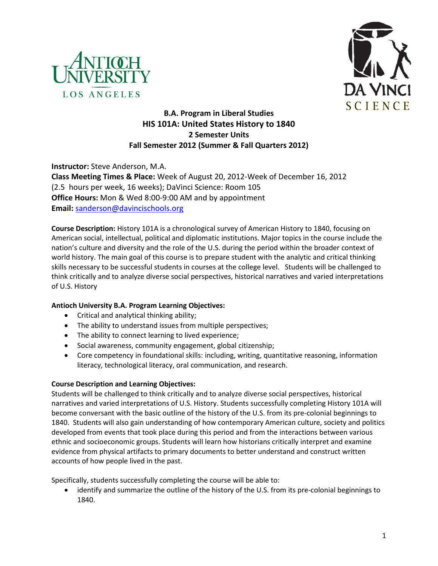



# **B.A. Program in Liberal Studies HIS 101A: United States History to 1840 2 Semester Units Fall Semester 2012 (Summer & Fall Quarters 2012)**

**Instructor:** Steve Anderson, M.A. **Class Meeting Times & Place:** Week of August 20, 2012-Week of December 16, 2012 (2.5 hours per week, 16 weeks); DaVinci Science: Room 105 **Office Hours:** Mon & Wed 8:00-9:00 AM and by appointment **Email:** [sanderson@davincischools.org](mailto:sanderson@davincischools.org)

**Course Description:** History 101A is a chronological survey of American History to 1840, focusing on American social, intellectual, political and diplomatic institutions. Major topics in the course include the nation's culture and diversity and the role of the U.S. during the period within the broader context of world history. The main goal of this course is to prepare student with the analytic and critical thinking skills necessary to be successful students in courses at the college level. Students will be challenged to think critically and to analyze diverse social perspectives, historical narratives and varied interpretations of U.S. History

# **Antioch University B.A. Program Learning Objectives:**

- Critical and analytical thinking ability;
- The ability to understand issues from multiple perspectives;
- The ability to connect learning to lived experience;
- Social awareness, community engagement, global citizenship;
- Core competency in foundational skills: including, writing, quantitative reasoning, information literacy, technological literacy, oral communication, and research.

### **Course Description and Learning Objectives:**

Students will be challenged to think critically and to analyze diverse social perspectives, historical narratives and varied interpretations of U.S. History. Students successfully completing History 101A will become conversant with the basic outline of the history of the U.S. from its pre-colonial beginnings to 1840. Students will also gain understanding of how contemporary American culture, society and politics developed from events that took place during this period and from the interactions between various ethnic and socioeconomic groups. Students will learn how historians critically interpret and examine evidence from physical artifacts to primary documents to better understand and construct written accounts of how people lived in the past.

Specifically, students successfully completing the course will be able to:

identify and summarize the outline of the history of the U.S. from its pre-colonial beginnings to 1840.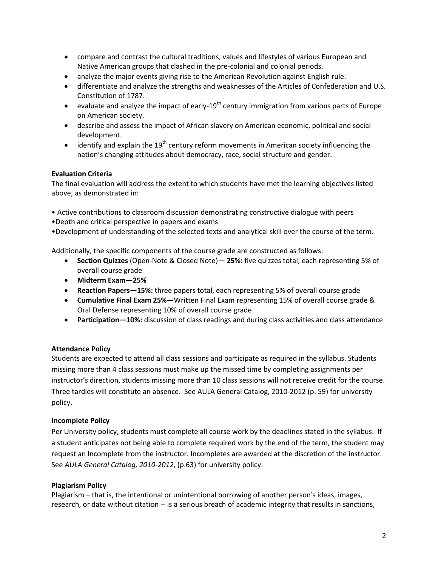- compare and contrast the cultural traditions, values and lifestyles of various European and Native American groups that clashed in the pre-colonial and colonial periods.
- analyze the major events giving rise to the American Revolution against English rule.
- differentiate and analyze the strengths and weaknesses of the Articles of Confederation and U.S. Constitution of 1787.
- evaluate and analyze the impact of early-19<sup>th</sup> century immigration from various parts of Europe on American society.
- describe and assess the impact of African slavery on American economic, political and social development.
- identify and explain the 19<sup>th</sup> century reform movements in American society influencing the nation's changing attitudes about democracy, race, social structure and gender.

### **Evaluation Criteria**

The final evaluation will address the extent to which students have met the learning objectives listed above, as demonstrated in:

- Active contributions to classroom discussion demonstrating constructive dialogue with peers
- •Depth and critical perspective in papers and exams
- •Development of understanding of the selected texts and analytical skill over the course of the term.

Additionally, the specific components of the course grade are constructed as follows:

- **Section Quizzes** (Open-Note & Closed Note)— **25%:** five quizzes total, each representing 5% of overall course grade
- **Midterm Exam—25%**
- **Reaction Papers—15%:** three papers total, each representing 5% of overall course grade
- **Cumulative Final Exam 25%—**Written Final Exam representing 15% of overall course grade & Oral Defense representing 10% of overall course grade
- **Participation—10%:** discussion of class readings and during class activities and class attendance

### **Attendance Policy**

Students are expected to attend all class sessions and participate as required in the syllabus. Students missing more than 4 class sessions must make up the missed time by completing assignments per instructor's direction, students missing more than 10 class sessions will not receive credit for the course. Three tardies will constitute an absence. See AULA General Catalog, 2010-2012 (p. 59) for university policy.

# **Incomplete Policy**

Per University policy, students must complete all course work by the deadlines stated in the syllabus. If a student anticipates not being able to complete required work by the end of the term, the student may request an Incomplete from the instructor. Incompletes are awarded at the discretion of the instructor. See *AULA General Catalog, 2010-2012*, (p.63) for university policy.

### **Plagiarism Policy**

Plagiarism – that is, the intentional or unintentional borrowing of another person's ideas, images, research, or data without citation -- is a serious breach of academic integrity that results in sanctions,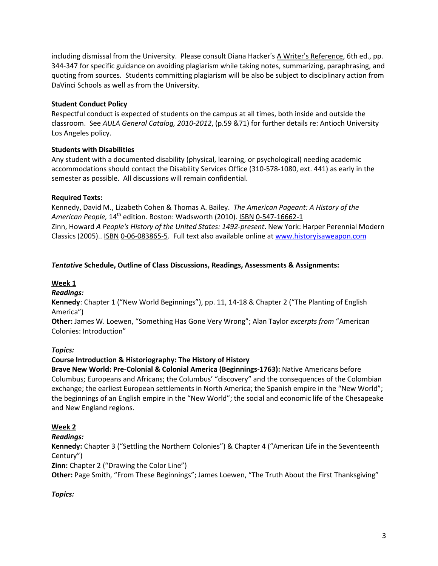including dismissal from the University. Please consult Diana Hacker's A Writer's Reference, 6th ed., pp. 344-347 for specific guidance on avoiding plagiarism while taking notes, summarizing, paraphrasing, and quoting from sources. Students committing plagiarism will be also be subject to disciplinary action from DaVinci Schools as well as from the University.

### **Student Conduct Policy**

Respectful conduct is expected of students on the campus at all times, both inside and outside the classroom. See *AULA General Catalog, 2010-2012*, (p.59 &71) for further details re: Antioch University Los Angeles policy.

### **Students with Disabilities**

Any student with a documented disability (physical, learning, or psychological) needing academic accommodations should contact the Disability Services Office (310-578-1080, ext. 441) as early in the semester as possible. All discussions will remain confidential.

### **Required Texts:**

Kennedy, David M., Lizabeth Cohen & Thomas A. Bailey. *The American Pageant: A History of the*  American People, 14<sup>th</sup> edition. Boston: Wadsworth (2010). ISBN 0-547-16662-1 Zinn, Howard *A People's History of the United States: 1492-present*. New York: Harper Perennial Modern Classics (2005).. [ISBN](http://en.wikipedia.org/wiki/International_Standard_Book_Number) [0-06-083865-5.](http://en.wikipedia.org/wiki/Special:BookSources/0-06-083865-5) Full text also available online at [www.historyisaweapon.com](http://www.historyisaweapon.com/)

### *Tentative* **Schedule, Outline of Class Discussions, Readings, Assessments & Assignments:**

### **Week 1**

*Readings:*

**Kennedy**: Chapter 1 ("New World Beginnings"), pp. 11, 14-18 & Chapter 2 ("The Planting of English America")

**Other:** James W. Loewen, "Something Has Gone Very Wrong"; Alan Taylor *excerpts from* "American Colonies: Introduction"

### *Topics:*

### **Course Introduction & Historiography: The History of History**

**Brave New World: Pre-Colonial & Colonial America (Beginnings-1763):** Native Americans before Columbus; Europeans and Africans; the Columbus' "discovery" and the consequences of the Colombian exchange; the earliest European settlements in North America; the Spanish empire in the "New World"; the beginnings of an English empire in the "New World"; the social and economic life of the Chesapeake and New England regions.

### **Week 2**

### *Readings:*

**Kennedy:** Chapter 3 ("Settling the Northern Colonies") & Chapter 4 ("American Life in the Seventeenth Century")

**Zinn:** Chapter 2 ("Drawing the Color Line")

**Other:** Page Smith, "From These Beginnings"; James Loewen, "The Truth About the First Thanksgiving"

### *Topics:*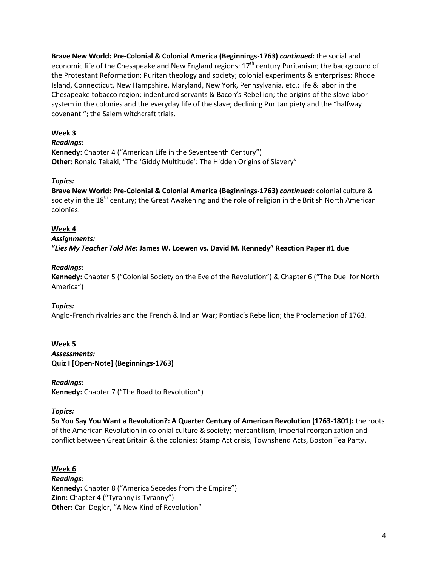**Brave New World: Pre-Colonial & Colonial America (Beginnings-1763)** *continued:* the social and economic life of the Chesapeake and New England regions;  $17<sup>th</sup>$  century Puritanism; the background of the Protestant Reformation; Puritan theology and society; colonial experiments & enterprises: Rhode Island, Connecticut, New Hampshire, Maryland, New York, Pennsylvania, etc.; life & labor in the Chesapeake tobacco region; indentured servants & Bacon's Rebellion; the origins of the slave labor system in the colonies and the everyday life of the slave; declining Puritan piety and the "halfway covenant "; the Salem witchcraft trials.

# **Week 3**

### *Readings:*

**Kennedy:** Chapter 4 ("American Life in the Seventeenth Century") **Other:** Ronald Takaki, "The 'Giddy Multitude': The Hidden Origins of Slavery"

#### *Topics:*

**Brave New World: Pre-Colonial & Colonial America (Beginnings-1763)** *continued:* colonial culture & society in the  $18<sup>th</sup>$  century; the Great Awakening and the role of religion in the British North American colonies.

#### **Week 4**

#### *Assignments:*

**"***Lies My Teacher Told Me***: James W. Loewen vs. David M. Kennedy" Reaction Paper #1 due**

#### *Readings:*

**Kennedy:** Chapter 5 ("Colonial Society on the Eve of the Revolution") & Chapter 6 ("The Duel for North America")

### *Topics:*

Anglo-French rivalries and the French & Indian War; Pontiac's Rebellion; the Proclamation of 1763.

### **Week 5**

*Assessments:* **Quiz I [Open-Note] (Beginnings-1763)**

#### *Readings:*

**Kennedy:** Chapter 7 ("The Road to Revolution")

#### *Topics:*

**So You Say You Want a Revolution?: A Quarter Century of American Revolution (1763-1801):** the roots of the American Revolution in colonial culture & society; mercantilism; Imperial reorganization and conflict between Great Britain & the colonies: Stamp Act crisis, Townshend Acts, Boston Tea Party.

#### **Week 6**

*Readings:* **Kennedy:** Chapter 8 ("America Secedes from the Empire") **Zinn:** Chapter 4 ("Tyranny is Tyranny") **Other:** Carl Degler, "A New Kind of Revolution"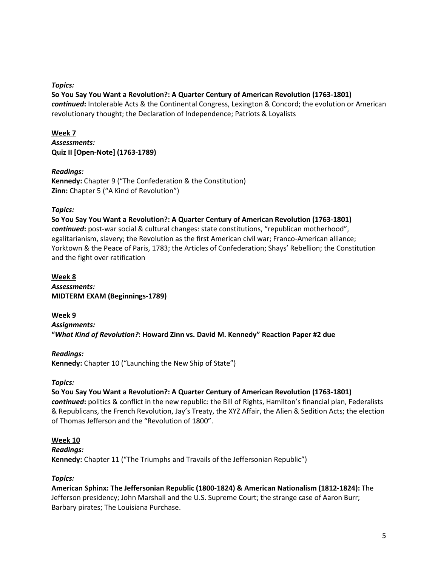*Topics:*

### **So You Say You Want a Revolution?: A Quarter Century of American Revolution (1763-1801)**

*continued***:** Intolerable Acts & the Continental Congress, Lexington & Concord; the evolution or American revolutionary thought; the Declaration of Independence; Patriots & Loyalists

# **Week 7** *Assessments:* **Quiz II [Open-Note] (1763-1789)**

### *Readings:*

**Kennedy:** Chapter 9 ("The Confederation & the Constitution) **Zinn:** Chapter 5 ("A Kind of Revolution")

### *Topics:*

**So You Say You Want a Revolution?: A Quarter Century of American Revolution (1763-1801)**  *continued***:** post-war social & cultural changes: state constitutions, "republican motherhood", egalitarianism, slavery; the Revolution as the first American civil war; Franco-American alliance; Yorktown & the Peace of Paris, 1783; the Articles of Confederation; Shays' Rebellion; the Constitution and the fight over ratification

**Week 8** *Assessments:* **MIDTERM EXAM (Beginnings-1789)**

**Week 9** *Assignments:* **"***What Kind of Revolution?***: Howard Zinn vs. David M. Kennedy" Reaction Paper #2 due**

# *Readings:*

**Kennedy:** Chapter 10 ("Launching the New Ship of State")

### *Topics:*

### **So You Say You Want a Revolution?: A Quarter Century of American Revolution (1763-1801)**

*continued***:** politics & conflict in the new republic: the Bill of Rights, Hamilton's financial plan, Federalists & Republicans, the French Revolution, Jay's Treaty, the XYZ Affair, the Alien & Sedition Acts; the election of Thomas Jefferson and the "Revolution of 1800".

### **Week 10**

### *Readings:*

**Kennedy:** Chapter 11 ("The Triumphs and Travails of the Jeffersonian Republic")

# *Topics:*

**American Sphinx: The Jeffersonian Republic (1800-1824) & American Nationalism (1812-1824):** The Jefferson presidency; John Marshall and the U.S. Supreme Court; the strange case of Aaron Burr; Barbary pirates; The Louisiana Purchase.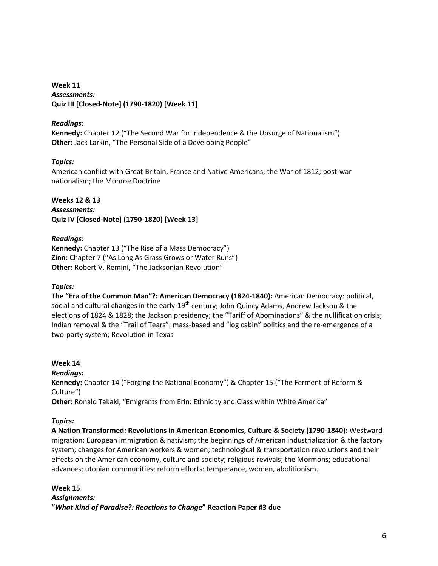**Week 11** *Assessments:* **Quiz III [Closed-Note] (1790-1820) [Week 11]**

### *Readings:*

**Kennedy:** Chapter 12 ("The Second War for Independence & the Upsurge of Nationalism") **Other:** Jack Larkin, "The Personal Side of a Developing People"

### *Topics:*

American conflict with Great Britain, France and Native Americans; the War of 1812; post-war nationalism; the Monroe Doctrine

**Weeks 12 & 13** *Assessments:* **Quiz IV [Closed-Note] (1790-1820) [Week 13]**

### *Readings:*

**Kennedy:** Chapter 13 ("The Rise of a Mass Democracy") **Zinn:** Chapter 7 ("As Long As Grass Grows or Water Runs") **Other:** Robert V. Remini, "The Jacksonian Revolution"

### *Topics:*

**The "Era of the Common Man"?: American Democracy (1824-1840):** American Democracy: political, social and cultural changes in the early-19<sup>th</sup> century; John Quincy Adams, Andrew Jackson & the elections of 1824 & 1828; the Jackson presidency; the "Tariff of Abominations" & the nullification crisis; Indian removal & the "Trail of Tears"; mass-based and "log cabin" politics and the re-emergence of a two-party system; Revolution in Texas

### **Week 14**

*Readings:* **Kennedy:** Chapter 14 ("Forging the National Economy") & Chapter 15 ("The Ferment of Reform & Culture") **Other:** Ronald Takaki, "Emigrants from Erin: Ethnicity and Class within White America"

# *Topics:*

**A Nation Transformed: Revolutions in American Economics, Culture & Society (1790-1840):** Westward migration: European immigration & nativism; the beginnings of American industrialization & the factory system; changes for American workers & women; technological & transportation revolutions and their effects on the American economy, culture and society; religious revivals; the Mormons; educational advances; utopian communities; reform efforts: temperance, women, abolitionism.

### **Week 15**

*Assignments:* **"***What Kind of Paradise?: Reactions to Change***" Reaction Paper #3 due**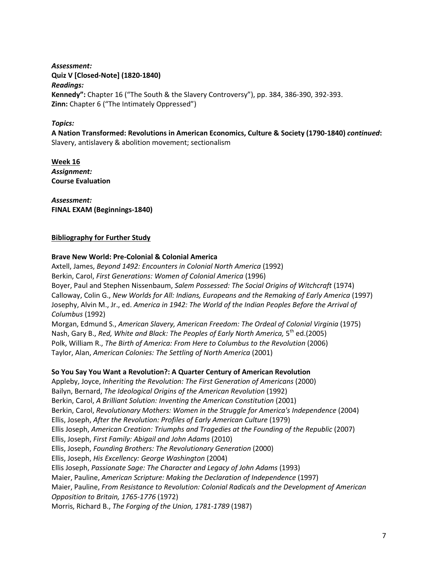*Assessment:* **Quiz V [Closed-Note] (1820-1840)** *Readings:* **Kennedy":** Chapter 16 ("The South & the Slavery Controversy"), pp. 384, 386-390, 392-393. **Zinn:** Chapter 6 ("The Intimately Oppressed")

### *Topics:*

**A Nation Transformed: Revolutions in American Economics, Culture & Society (1790-1840)** *continued***:**  Slavery, antislavery & abolition movement; sectionalism

**Week 16** *Assignment:* **Course Evaluation**

*Assessment:* **FINAL EXAM (Beginnings-1840)**

#### **Bibliography for Further Study**

#### **Brave New World: Pre-Colonial & Colonial America**

Axtell, James, *Beyond 1492: Encounters in Colonial North America* (1992) Berkin, Carol, *First Generations: Women of Colonial America* (1996) Boyer, Paul and Stephen Nissenbaum, *Salem Possessed: The Social Origins of Witchcraft* (1974) Calloway, Colin G., *New Worlds for All: Indians, Europeans and the Remaking of Early America* (1997) Josephy, Alvin M., Jr., ed. *America in 1942: The World of the Indian Peoples Before the Arrival of Columbus* (1992) Morgan, Edmund S., *American Slavery, American Freedom: The Ordeal of Colonial Virginia* (1975) Nash, Gary B., *Red, White and Black: The Peoples of Early North America,* 5<sup>th</sup> ed.(2005)

Polk, William R., *The Birth of America: From Here to Columbus to the Revolution* (2006)

Taylor, Alan, *American Colonies: The Settling of North America* (2001)

#### **So You Say You Want a Revolution?: A Quarter Century of American Revolution**

Appleby, Joyce, *Inheriting the Revolution: The First Generation of Americans* (2000) Bailyn, Bernard, *The Ideological Origins of the American Revolution* (1992) Berkin, Carol, *A Brilliant Solution: Inventing the American Constitution* (2001) Berkin, Carol, *Revolutionary Mothers: Women in the Struggle for America's Independence* (2004) Ellis, Joseph, *After the Revolution: Profiles of Early American Culture* (1979) Ellis Joseph, *American Creation: Triumphs and Tragedies at the Founding of the Republic* (2007) Ellis, Joseph, *First Family: Abigail and John Adams* (2010) Ellis, Joseph, *Founding Brothers: The Revolutionary Generation* (2000) Ellis, Joseph, *His Excellency: George Washington* (2004) Ellis Joseph, *Passionate Sage: The Character and Legacy of John Adams* (1993) Maier, Pauline, *American Scripture: Making the Declaration of Independence* (1997) Maier, Pauline, *From Resistance to Revolution: Colonial Radicals and the Development of American Opposition to Britain, 1765-1776* (1972) Morris, Richard B., *The Forging of the Union, 1781-1789* (1987)